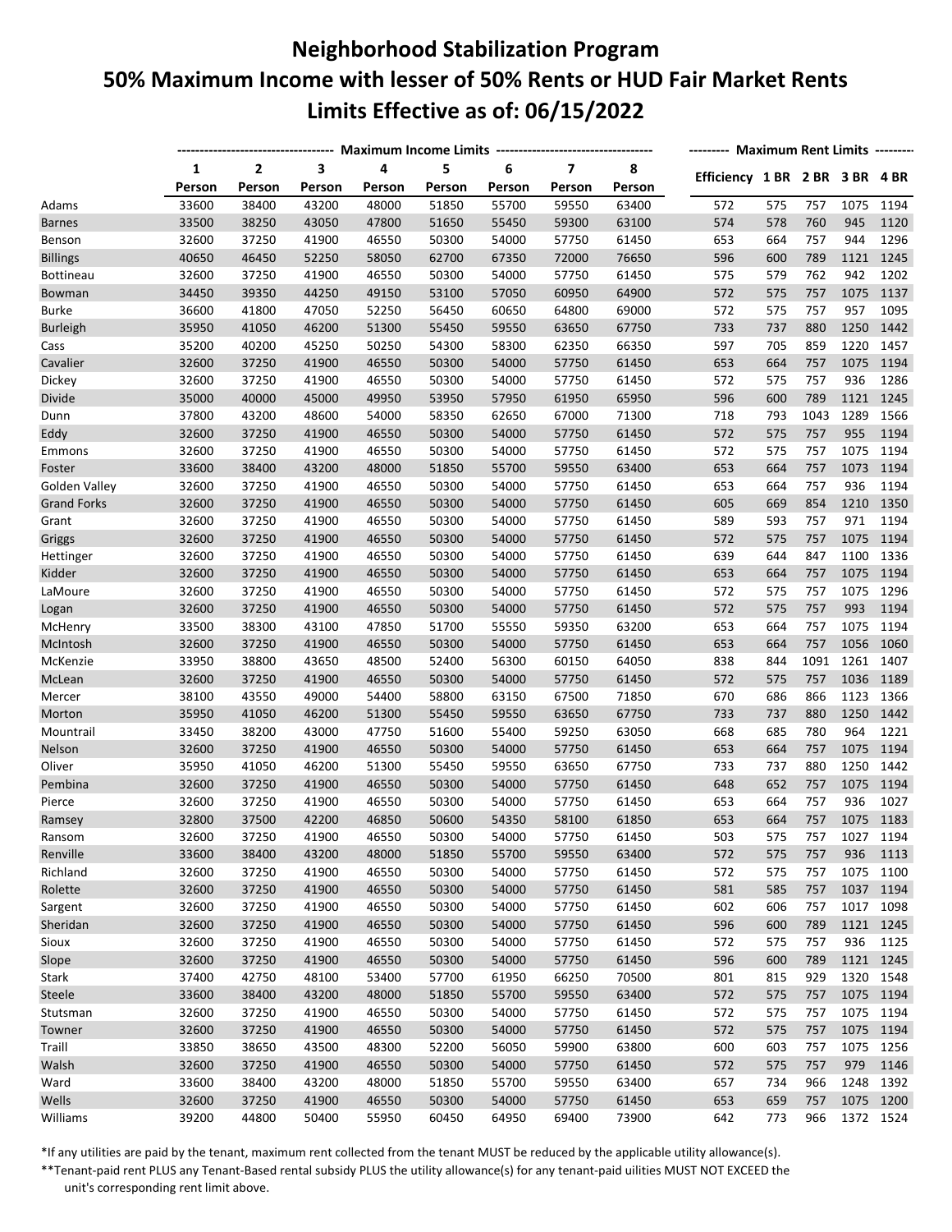## **Neighborhood Stabilization Program 50% Maximum Income with lesser of 50% Rents or HUD Fair Market Rents Limits Effective as of: 06/15/2022**

|                    |             | -------- Maximum Rent Limits -------- |             |             |             |             |                                   |             |                                |     |      |      |           |
|--------------------|-------------|---------------------------------------|-------------|-------------|-------------|-------------|-----------------------------------|-------------|--------------------------------|-----|------|------|-----------|
|                    | 1<br>Person | $\overline{2}$                        | 3<br>Person | 4<br>Person | 5<br>Person | 6<br>Person | $\overline{\mathbf{z}}$<br>Person | 8<br>Person | Efficiency 1 BR 2 BR 3 BR 4 BR |     |      |      |           |
| Adams              | 33600       | Person<br>38400                       | 43200       | 48000       | 51850       | 55700       | 59550                             | 63400       | 572                            | 575 | 757  | 1075 | 1194      |
| <b>Barnes</b>      | 33500       | 38250                                 | 43050       | 47800       | 51650       | 55450       | 59300                             | 63100       | 574                            | 578 | 760  | 945  | 1120      |
| Benson             | 32600       | 37250                                 | 41900       | 46550       | 50300       | 54000       | 57750                             | 61450       | 653                            | 664 | 757  | 944  | 1296      |
| <b>Billings</b>    | 40650       | 46450                                 | 52250       | 58050       | 62700       | 67350       | 72000                             | 76650       | 596                            | 600 | 789  | 1121 | 1245      |
| Bottineau          | 32600       | 37250                                 | 41900       | 46550       | 50300       | 54000       | 57750                             | 61450       | 575                            | 579 | 762  | 942  | 1202      |
| Bowman             | 34450       | 39350                                 | 44250       | 49150       | 53100       | 57050       | 60950                             | 64900       | 572                            | 575 | 757  | 1075 | 1137      |
| <b>Burke</b>       | 36600       | 41800                                 | 47050       | 52250       | 56450       | 60650       | 64800                             | 69000       | 572                            | 575 | 757  | 957  | 1095      |
| <b>Burleigh</b>    | 35950       | 41050                                 | 46200       | 51300       | 55450       | 59550       | 63650                             | 67750       | 733                            | 737 | 880  | 1250 | 1442      |
| Cass               | 35200       | 40200                                 | 45250       | 50250       | 54300       | 58300       | 62350                             | 66350       | 597                            | 705 | 859  | 1220 | 1457      |
| Cavalier           | 32600       | 37250                                 | 41900       | 46550       | 50300       | 54000       | 57750                             | 61450       | 653                            | 664 | 757  | 1075 | 1194      |
| Dickey             | 32600       | 37250                                 | 41900       | 46550       | 50300       | 54000       | 57750                             | 61450       | 572                            | 575 | 757  | 936  | 1286      |
| Divide             | 35000       | 40000                                 | 45000       | 49950       | 53950       | 57950       | 61950                             | 65950       | 596                            | 600 | 789  | 1121 | 1245      |
| Dunn               | 37800       | 43200                                 | 48600       | 54000       | 58350       | 62650       | 67000                             | 71300       | 718                            | 793 | 1043 | 1289 | 1566      |
| Eddy               | 32600       | 37250                                 | 41900       | 46550       | 50300       | 54000       | 57750                             | 61450       | 572                            | 575 | 757  | 955  | 1194      |
|                    | 32600       | 37250                                 | 41900       | 46550       | 50300       | 54000       | 57750                             | 61450       | 572                            | 575 | 757  | 1075 | 1194      |
| Emmons<br>Foster   | 33600       | 38400                                 | 43200       | 48000       | 51850       | 55700       | 59550                             | 63400       | 653                            | 664 | 757  | 1073 | 1194      |
| Golden Valley      | 32600       | 37250                                 | 41900       | 46550       | 50300       | 54000       | 57750                             | 61450       | 653                            | 664 | 757  | 936  | 1194      |
| <b>Grand Forks</b> | 32600       | 37250                                 | 41900       | 46550       | 50300       | 54000       | 57750                             | 61450       | 605                            | 669 | 854  | 1210 | 1350      |
| Grant              | 32600       | 37250                                 | 41900       | 46550       | 50300       | 54000       | 57750                             | 61450       | 589                            | 593 | 757  | 971  | 1194      |
| Griggs             | 32600       | 37250                                 | 41900       | 46550       | 50300       | 54000       | 57750                             | 61450       | 572                            | 575 | 757  | 1075 | 1194      |
| Hettinger          | 32600       | 37250                                 | 41900       | 46550       | 50300       | 54000       | 57750                             | 61450       | 639                            | 644 | 847  | 1100 | 1336      |
| Kidder             | 32600       | 37250                                 | 41900       | 46550       | 50300       | 54000       | 57750                             | 61450       | 653                            | 664 | 757  | 1075 | 1194      |
| LaMoure            | 32600       | 37250                                 | 41900       | 46550       | 50300       | 54000       | 57750                             | 61450       | 572                            | 575 | 757  | 1075 | 1296      |
|                    | 32600       | 37250                                 | 41900       | 46550       | 50300       | 54000       | 57750                             | 61450       | 572                            | 575 | 757  | 993  | 1194      |
| Logan<br>McHenry   | 33500       | 38300                                 | 43100       | 47850       | 51700       | 55550       | 59350                             | 63200       | 653                            | 664 | 757  | 1075 | 1194      |
| McIntosh           | 32600       | 37250                                 | 41900       | 46550       | 50300       | 54000       | 57750                             | 61450       | 653                            | 664 | 757  | 1056 | 1060      |
| McKenzie           | 33950       | 38800                                 | 43650       | 48500       | 52400       | 56300       | 60150                             | 64050       | 838                            | 844 | 1091 | 1261 | 1407      |
| McLean             | 32600       | 37250                                 | 41900       | 46550       | 50300       | 54000       | 57750                             | 61450       | 572                            | 575 | 757  | 1036 | 1189      |
| Mercer             | 38100       | 43550                                 | 49000       | 54400       | 58800       | 63150       | 67500                             | 71850       | 670                            | 686 | 866  | 1123 | 1366      |
| Morton             | 35950       | 41050                                 | 46200       | 51300       | 55450       | 59550       | 63650                             | 67750       | 733                            | 737 | 880  | 1250 | 1442      |
| Mountrail          | 33450       | 38200                                 | 43000       | 47750       | 51600       | 55400       | 59250                             | 63050       | 668                            | 685 | 780  | 964  | 1221      |
| Nelson             | 32600       | 37250                                 | 41900       | 46550       | 50300       | 54000       | 57750                             | 61450       | 653                            | 664 | 757  | 1075 | 1194      |
| Oliver             | 35950       | 41050                                 | 46200       | 51300       | 55450       | 59550       | 63650                             | 67750       | 733                            | 737 | 880  | 1250 | 1442      |
| Pembina            | 32600       | 37250                                 | 41900       | 46550       | 50300       | 54000       | 57750                             | 61450       | 648                            | 652 | 757  | 1075 | 1194      |
| Pierce             | 32600       | 37250                                 | 41900       | 46550       | 50300       | 54000       | 57750                             | 61450       | 653                            | 664 | 757  | 936  | 1027      |
| Ramsey             | 32800       | 37500                                 | 42200       | 46850       | 50600       | 54350       | 58100                             | 61850       | 653                            | 664 | 757  |      | 1075 1183 |
| Ransom             | 32600       | 37250                                 | 41900       | 46550       | 50300       | 54000       | 57750                             | 61450       | 503                            | 575 | 757  |      | 1027 1194 |
| Renville           | 33600       | 38400                                 | 43200       | 48000       | 51850       | 55700       | 59550                             | 63400       | 572                            | 575 | 757  | 936  | 1113      |
| Richland           | 32600       | 37250                                 | 41900       | 46550       | 50300       | 54000       | 57750                             | 61450       | 572                            | 575 | 757  | 1075 | 1100      |
| Rolette            | 32600       | 37250                                 | 41900       | 46550       | 50300       | 54000       | 57750                             | 61450       | 581                            | 585 | 757  |      | 1037 1194 |
| Sargent            | 32600       | 37250                                 | 41900       | 46550       | 50300       | 54000       | 57750                             | 61450       | 602                            | 606 | 757  |      | 1017 1098 |
| Sheridan           | 32600       | 37250                                 | 41900       | 46550       | 50300       | 54000       | 57750                             | 61450       | 596                            | 600 | 789  |      | 1121 1245 |
| Sioux              | 32600       | 37250                                 | 41900       | 46550       | 50300       | 54000       | 57750                             | 61450       | 572                            | 575 | 757  | 936  | 1125      |
| Slope              | 32600       | 37250                                 | 41900       | 46550       | 50300       | 54000       | 57750                             | 61450       | 596                            | 600 | 789  | 1121 | 1245      |
| Stark              | 37400       | 42750                                 | 48100       | 53400       | 57700       | 61950       | 66250                             | 70500       | 801                            | 815 | 929  | 1320 | 1548      |
| Steele             | 33600       | 38400                                 | 43200       | 48000       | 51850       | 55700       | 59550                             | 63400       | 572                            | 575 | 757  |      | 1075 1194 |
| Stutsman           | 32600       | 37250                                 | 41900       | 46550       | 50300       | 54000       | 57750                             | 61450       | 572                            | 575 | 757  |      | 1075 1194 |
| Towner             | 32600       | 37250                                 | 41900       | 46550       | 50300       | 54000       | 57750                             | 61450       | 572                            | 575 | 757  |      | 1075 1194 |
| Traill             | 33850       | 38650                                 | 43500       | 48300       | 52200       | 56050       | 59900                             | 63800       | 600                            | 603 | 757  | 1075 | 1256      |
|                    |             |                                       |             | 46550       |             | 54000       |                                   |             |                                | 575 | 757  | 979  | 1146      |
| Walsh              | 32600       | 37250                                 | 41900       |             | 50300       |             | 57750                             | 61450       | 572                            |     |      |      |           |
| Ward               | 33600       | 38400                                 | 43200       | 48000       | 51850       | 55700       | 59550                             | 63400       | 657                            | 734 | 966  | 1248 | 1392      |
| Wells              | 32600       | 37250                                 | 41900       | 46550       | 50300       | 54000       | 57750                             | 61450       | 653                            | 659 | 757  |      | 1075 1200 |
| Williams           | 39200       | 44800                                 | 50400       | 55950       | 60450       | 64950       | 69400                             | 73900       | 642                            | 773 | 966  |      | 1372 1524 |

\*If any utilities are paid by the tenant, maximum rent collected from the tenant MUST be reduced by the applicable utility allowance(s).

\*\*Tenant-paid rent PLUS any Tenant-Based rental subsidy PLUS the utility allowance(s) for any tenant-paid uilities MUST NOT EXCEED the unit's corresponding rent limit above.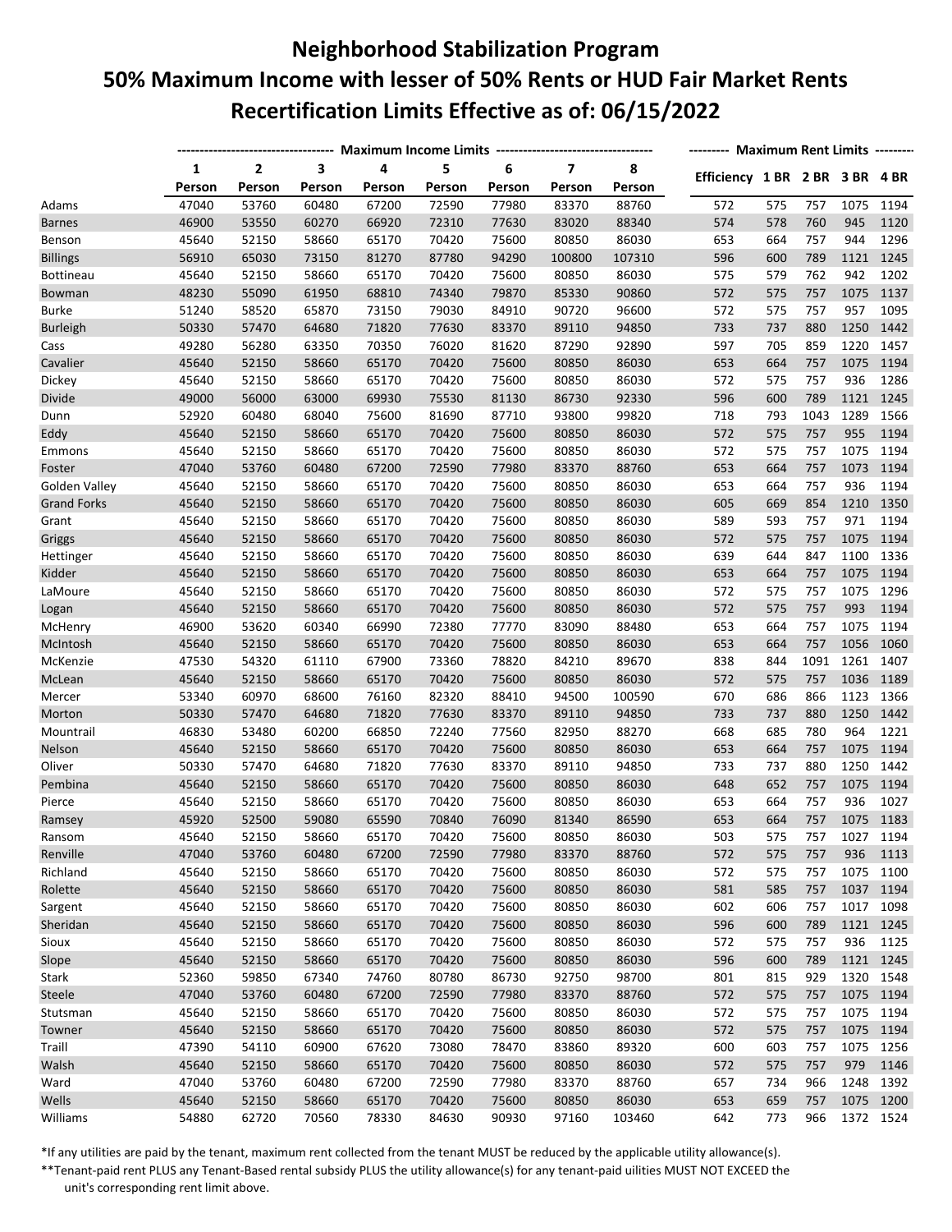## **Neighborhood Stabilization Program 50% Maximum Income with lesser of 50% Rents or HUD Fair Market Rents Recertification Limits Effective as of: 06/15/2022**

|                                     |             | ---------------- Maximum Income Limits ----------------------------------- |             |                |             |             |                                   |             |                                | -------- Maximum Rent Limits -------- |      |      |           |  |  |  |
|-------------------------------------|-------------|----------------------------------------------------------------------------|-------------|----------------|-------------|-------------|-----------------------------------|-------------|--------------------------------|---------------------------------------|------|------|-----------|--|--|--|
|                                     | 1<br>Person | 2<br>Person                                                                | 3<br>Person | 4<br>Person    | 5<br>Person | 6<br>Person | $\overline{\mathbf{z}}$<br>Person | 8<br>Person | Efficiency 1 BR 2 BR 3 BR 4 BR |                                       |      |      |           |  |  |  |
| Adams                               | 47040       | 53760                                                                      | 60480       | 67200          | 72590       | 77980       | 83370                             | 88760       | 572                            | 575                                   | 757  | 1075 | 1194      |  |  |  |
| <b>Barnes</b>                       | 46900       | 53550                                                                      | 60270       | 66920          | 72310       | 77630       | 83020                             | 88340       | 574                            | 578                                   | 760  | 945  | 1120      |  |  |  |
| Benson                              | 45640       | 52150                                                                      | 58660       | 65170          | 70420       | 75600       | 80850                             | 86030       | 653                            | 664                                   | 757  | 944  | 1296      |  |  |  |
| <b>Billings</b>                     | 56910       | 65030                                                                      | 73150       | 81270          | 87780       | 94290       | 100800                            | 107310      | 596                            | 600                                   | 789  | 1121 | 1245      |  |  |  |
| <b>Bottineau</b>                    | 45640       | 52150                                                                      | 58660       | 65170          | 70420       | 75600       | 80850                             | 86030       | 575                            | 579                                   | 762  | 942  | 1202      |  |  |  |
| Bowman                              | 48230       | 55090                                                                      | 61950       | 68810          | 74340       | 79870       | 85330                             | 90860       | 572                            | 575                                   | 757  | 1075 | 1137      |  |  |  |
| Burke                               | 51240       | 58520                                                                      | 65870       | 73150          | 79030       | 84910       | 90720                             | 96600       | 572                            | 575                                   | 757  | 957  | 1095      |  |  |  |
| <b>Burleigh</b>                     | 50330       | 57470                                                                      | 64680       | 71820          | 77630       | 83370       | 89110                             | 94850       | 733                            | 737                                   | 880  | 1250 | 1442      |  |  |  |
| Cass                                | 49280       | 56280                                                                      | 63350       | 70350          | 76020       | 81620       | 87290                             | 92890       | 597                            | 705                                   | 859  | 1220 | 1457      |  |  |  |
| Cavalier                            | 45640       | 52150                                                                      | 58660       | 65170          | 70420       | 75600       | 80850                             | 86030       | 653                            | 664                                   | 757  | 1075 | 1194      |  |  |  |
| Dickey                              | 45640       | 52150                                                                      | 58660       | 65170          | 70420       | 75600       | 80850                             | 86030       | 572                            | 575                                   | 757  | 936  | 1286      |  |  |  |
| Divide                              | 49000       | 56000                                                                      | 63000       | 69930          | 75530       | 81130       | 86730                             | 92330       | 596                            | 600                                   | 789  | 1121 | 1245      |  |  |  |
| Dunn                                | 52920       | 60480                                                                      | 68040       | 75600          | 81690       | 87710       | 93800                             | 99820       | 718                            | 793                                   | 1043 | 1289 | 1566      |  |  |  |
| Eddy                                | 45640       | 52150                                                                      | 58660       | 65170          | 70420       | 75600       | 80850                             | 86030       | 572                            | 575                                   | 757  | 955  | 1194      |  |  |  |
| Emmons                              | 45640       |                                                                            | 58660       | 65170          | 70420       | 75600       | 80850                             | 86030       | 572                            | 575                                   | 757  | 1075 | 1194      |  |  |  |
|                                     | 47040       | 52150<br>53760                                                             | 60480       |                | 72590       | 77980       | 83370                             | 88760       | 653                            | 664                                   | 757  | 1073 | 1194      |  |  |  |
| Foster                              | 45640       | 52150                                                                      | 58660       | 67200<br>65170 | 70420       | 75600       | 80850                             | 86030       | 653                            | 664                                   | 757  | 936  | 1194      |  |  |  |
| Golden Valley<br><b>Grand Forks</b> | 45640       | 52150                                                                      | 58660       | 65170          | 70420       | 75600       | 80850                             | 86030       | 605                            | 669                                   | 854  | 1210 | 1350      |  |  |  |
|                                     |             |                                                                            |             |                |             |             |                                   |             |                                |                                       |      |      |           |  |  |  |
| Grant                               | 45640       | 52150                                                                      | 58660       | 65170          | 70420       | 75600       | 80850                             | 86030       | 589                            | 593                                   | 757  | 971  | 1194      |  |  |  |
| Griggs                              | 45640       | 52150                                                                      | 58660       | 65170          | 70420       | 75600       | 80850                             | 86030       | 572                            | 575<br>644                            | 757  | 1075 | 1194      |  |  |  |
| Hettinger<br>Kidder                 | 45640       | 52150                                                                      | 58660       | 65170          | 70420       | 75600       | 80850                             | 86030       | 639                            |                                       | 847  | 1100 | 1336      |  |  |  |
|                                     | 45640       | 52150                                                                      | 58660       | 65170          | 70420       | 75600       | 80850                             | 86030       | 653                            | 664                                   | 757  | 1075 | 1194      |  |  |  |
| LaMoure                             | 45640       | 52150                                                                      | 58660       | 65170          | 70420       | 75600       | 80850                             | 86030       | 572                            | 575                                   | 757  | 1075 | 1296      |  |  |  |
| Logan                               | 45640       | 52150                                                                      | 58660       | 65170          | 70420       | 75600       | 80850                             | 86030       | 572                            | 575                                   | 757  | 993  | 1194      |  |  |  |
| McHenry                             | 46900       | 53620                                                                      | 60340       | 66990          | 72380       | 77770       | 83090                             | 88480       | 653                            | 664                                   | 757  | 1075 | 1194      |  |  |  |
| McIntosh                            | 45640       | 52150                                                                      | 58660       | 65170          | 70420       | 75600       | 80850                             | 86030       | 653                            | 664                                   | 757  | 1056 | 1060      |  |  |  |
| McKenzie                            | 47530       | 54320                                                                      | 61110       | 67900          | 73360       | 78820       | 84210                             | 89670       | 838                            | 844                                   | 1091 | 1261 | 1407      |  |  |  |
| McLean                              | 45640       | 52150                                                                      | 58660       | 65170          | 70420       | 75600       | 80850                             | 86030       | 572                            | 575                                   | 757  | 1036 | 1189      |  |  |  |
| Mercer                              | 53340       | 60970                                                                      | 68600       | 76160          | 82320       | 88410       | 94500                             | 100590      | 670                            | 686                                   | 866  | 1123 | 1366      |  |  |  |
| Morton                              | 50330       | 57470                                                                      | 64680       | 71820          | 77630       | 83370       | 89110                             | 94850       | 733                            | 737                                   | 880  | 1250 | 1442      |  |  |  |
| Mountrail                           | 46830       | 53480                                                                      | 60200       | 66850          | 72240       | 77560       | 82950                             | 88270       | 668                            | 685                                   | 780  | 964  | 1221      |  |  |  |
| Nelson                              | 45640       | 52150                                                                      | 58660       | 65170          | 70420       | 75600       | 80850                             | 86030       | 653                            | 664                                   | 757  | 1075 | 1194      |  |  |  |
| Oliver                              | 50330       | 57470                                                                      | 64680       | 71820          | 77630       | 83370       | 89110                             | 94850       | 733                            | 737                                   | 880  | 1250 | 1442      |  |  |  |
| Pembina                             | 45640       | 52150                                                                      | 58660       | 65170          | 70420       | 75600       | 80850                             | 86030       | 648                            | 652                                   | 757  | 1075 | 1194      |  |  |  |
| Pierce                              | 45640       | 52150                                                                      | 58660       | 65170          | 70420       | 75600       | 80850                             | 86030       | 653                            | 664                                   | 757  | 936  | 1027      |  |  |  |
| Ramsey                              | 45920       | 52500                                                                      | 59080       | 65590          | 70840       | 76090       | 81340                             | 86590       | 653                            | 664                                   | 757  |      | 1075 1183 |  |  |  |
| Ransom                              | 45640       | 52150                                                                      | 58660       | 65170          | 70420       | 75600       | 80850                             | 86030       | 503                            | 575                                   | 757  |      | 1027 1194 |  |  |  |
| Renville                            | 47040       | 53760                                                                      | 60480       | 67200          | 72590       | 77980       | 83370                             | 88760       | 572                            | 575                                   | 757  | 936  | 1113      |  |  |  |
| Richland                            | 45640       | 52150                                                                      | 58660       | 65170          | 70420       | 75600       | 80850                             | 86030       | 572                            | 575                                   | 757  | 1075 | 1100      |  |  |  |
| Rolette                             | 45640       | 52150                                                                      | 58660       | 65170          | 70420       | 75600       | 80850                             | 86030       | 581                            | 585                                   | 757  |      | 1037 1194 |  |  |  |
| Sargent                             | 45640       | 52150                                                                      | 58660       | 65170          | 70420       | 75600       | 80850                             | 86030       | 602                            | 606                                   | 757  |      | 1017 1098 |  |  |  |
| Sheridan                            | 45640       | 52150                                                                      | 58660       | 65170          | 70420       | 75600       | 80850                             | 86030       | 596                            | 600                                   | 789  |      | 1121 1245 |  |  |  |
| Sioux                               | 45640       | 52150                                                                      | 58660       | 65170          | 70420       | 75600       | 80850                             | 86030       | 572                            | 575                                   | 757  | 936  | 1125      |  |  |  |
| Slope                               | 45640       | 52150                                                                      | 58660       | 65170          | 70420       | 75600       | 80850                             | 86030       | 596                            | 600                                   | 789  |      | 1121 1245 |  |  |  |
| Stark                               | 52360       | 59850                                                                      | 67340       | 74760          | 80780       | 86730       | 92750                             | 98700       | 801                            | 815                                   | 929  |      | 1320 1548 |  |  |  |
| Steele                              | 47040       | 53760                                                                      | 60480       | 67200          | 72590       | 77980       | 83370                             | 88760       | 572                            | 575                                   | 757  |      | 1075 1194 |  |  |  |
| Stutsman                            | 45640       | 52150                                                                      | 58660       | 65170          | 70420       | 75600       | 80850                             | 86030       | 572                            | 575                                   | 757  | 1075 | 1194      |  |  |  |
| Towner                              | 45640       | 52150                                                                      | 58660       | 65170          | 70420       | 75600       | 80850                             | 86030       | 572                            | 575                                   | 757  |      | 1075 1194 |  |  |  |
| Traill                              | 47390       | 54110                                                                      | 60900       | 67620          | 73080       | 78470       | 83860                             | 89320       | 600                            | 603                                   | 757  |      | 1075 1256 |  |  |  |
| Walsh                               | 45640       | 52150                                                                      | 58660       | 65170          | 70420       | 75600       | 80850                             | 86030       | 572                            | 575                                   | 757  | 979  | 1146      |  |  |  |
| Ward                                | 47040       | 53760                                                                      | 60480       | 67200          | 72590       | 77980       | 83370                             | 88760       | 657                            | 734                                   | 966  | 1248 | 1392      |  |  |  |
| Wells                               | 45640       | 52150                                                                      | 58660       | 65170          | 70420       | 75600       | 80850                             | 86030       | 653                            | 659                                   | 757  |      | 1075 1200 |  |  |  |
| Williams                            | 54880       | 62720                                                                      | 70560       | 78330          | 84630       | 90930       | 97160                             | 103460      | 642                            | 773                                   | 966  |      | 1372 1524 |  |  |  |

\*If any utilities are paid by the tenant, maximum rent collected from the tenant MUST be reduced by the applicable utility allowance(s).

\*\*Tenant-paid rent PLUS any Tenant-Based rental subsidy PLUS the utility allowance(s) for any tenant-paid uilities MUST NOT EXCEED the unit's corresponding rent limit above.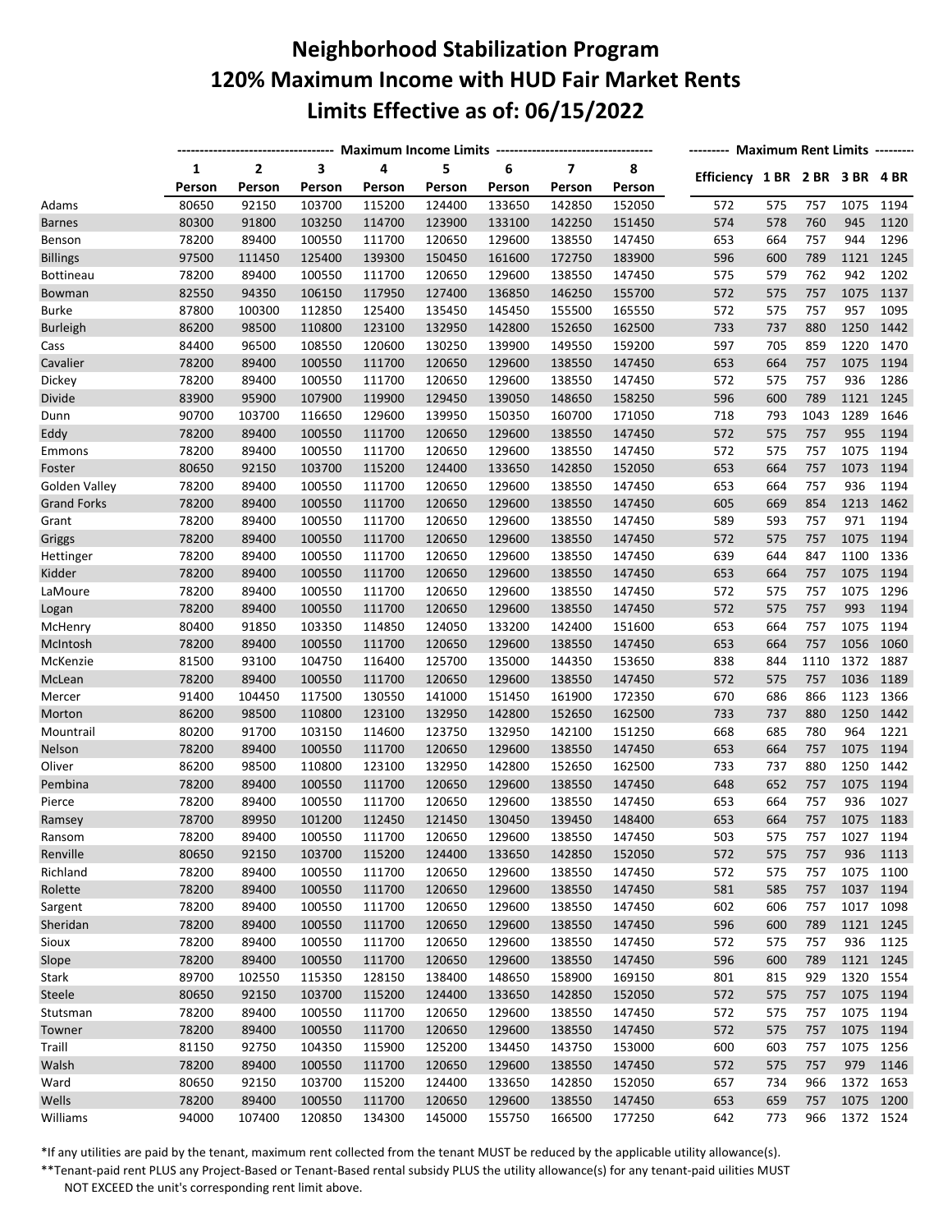## **Neighborhood Stabilization Program 120% Maximum Income with HUD Fair Market Rents Limits Effective as of: 06/15/2022**

|                    |        |        |        |        |        |        |                         |        |                                | -------- Maximum Rent Limits -------- |      |           |           |  |  |  |
|--------------------|--------|--------|--------|--------|--------|--------|-------------------------|--------|--------------------------------|---------------------------------------|------|-----------|-----------|--|--|--|
|                    | 1      | 2      | 3      | 4      | 5      | 6      | $\overline{\mathbf{z}}$ | 8      | Efficiency 1 BR 2 BR 3 BR 4 BR |                                       |      |           |           |  |  |  |
|                    | Person | Person | Person | Person | Person | Person | Person                  | Person |                                |                                       |      |           |           |  |  |  |
| Adams              | 80650  | 92150  | 103700 | 115200 | 124400 | 133650 | 142850                  | 152050 | 572                            | 575                                   | 757  | 1075      | 1194      |  |  |  |
| <b>Barnes</b>      | 80300  | 91800  | 103250 | 114700 | 123900 | 133100 | 142250                  | 151450 | 574                            | 578                                   | 760  | 945       | 1120      |  |  |  |
| Benson             | 78200  | 89400  | 100550 | 111700 | 120650 | 129600 | 138550                  | 147450 | 653                            | 664                                   | 757  | 944       | 1296      |  |  |  |
| <b>Billings</b>    | 97500  | 111450 | 125400 | 139300 | 150450 | 161600 | 172750                  | 183900 | 596                            | 600                                   | 789  | 1121      | 1245      |  |  |  |
| <b>Bottineau</b>   | 78200  | 89400  | 100550 | 111700 | 120650 | 129600 | 138550                  | 147450 | 575                            | 579                                   | 762  | 942       | 1202      |  |  |  |
| Bowman             | 82550  | 94350  | 106150 | 117950 | 127400 | 136850 | 146250                  | 155700 | 572                            | 575                                   | 757  | 1075      | 1137      |  |  |  |
| <b>Burke</b>       | 87800  | 100300 | 112850 | 125400 | 135450 | 145450 | 155500                  | 165550 | 572                            | 575                                   | 757  | 957       | 1095      |  |  |  |
| <b>Burleigh</b>    | 86200  | 98500  | 110800 | 123100 | 132950 | 142800 | 152650                  | 162500 | 733                            | 737                                   | 880  | 1250      | 1442      |  |  |  |
| Cass               | 84400  | 96500  | 108550 | 120600 | 130250 | 139900 | 149550                  | 159200 | 597                            | 705                                   | 859  | 1220      | 1470      |  |  |  |
| Cavalier           | 78200  | 89400  | 100550 | 111700 | 120650 | 129600 | 138550                  | 147450 | 653                            | 664                                   | 757  | 1075      | 1194      |  |  |  |
| Dickey             | 78200  | 89400  | 100550 | 111700 | 120650 | 129600 | 138550                  | 147450 | 572                            | 575                                   | 757  | 936       | 1286      |  |  |  |
| Divide             | 83900  | 95900  | 107900 | 119900 | 129450 | 139050 | 148650                  | 158250 | 596                            | 600                                   | 789  | 1121      | 1245      |  |  |  |
| Dunn               | 90700  | 103700 | 116650 | 129600 | 139950 | 150350 | 160700                  | 171050 | 718                            | 793                                   | 1043 | 1289      | 1646      |  |  |  |
| Eddy               | 78200  | 89400  | 100550 | 111700 | 120650 | 129600 | 138550                  | 147450 | 572                            | 575                                   | 757  | 955       | 1194      |  |  |  |
| Emmons             | 78200  | 89400  | 100550 | 111700 | 120650 | 129600 | 138550                  | 147450 | 572                            | 575                                   | 757  | 1075      | 1194      |  |  |  |
| Foster             | 80650  | 92150  | 103700 | 115200 | 124400 | 133650 | 142850                  | 152050 | 653                            | 664                                   | 757  | 1073      | 1194      |  |  |  |
| Golden Valley      | 78200  | 89400  | 100550 | 111700 | 120650 | 129600 | 138550                  | 147450 | 653                            | 664                                   | 757  | 936       | 1194      |  |  |  |
| <b>Grand Forks</b> | 78200  | 89400  | 100550 | 111700 | 120650 | 129600 | 138550                  | 147450 | 605                            | 669                                   | 854  | 1213      | 1462      |  |  |  |
| Grant              | 78200  | 89400  | 100550 | 111700 | 120650 | 129600 | 138550                  | 147450 | 589                            | 593                                   | 757  | 971       | 1194      |  |  |  |
| Griggs             | 78200  | 89400  | 100550 | 111700 | 120650 | 129600 | 138550                  | 147450 | 572                            | 575                                   | 757  | 1075      | 1194      |  |  |  |
| Hettinger          | 78200  | 89400  | 100550 | 111700 | 120650 | 129600 | 138550                  | 147450 | 639                            | 644                                   | 847  | 1100      | 1336      |  |  |  |
| Kidder             | 78200  | 89400  | 100550 | 111700 | 120650 | 129600 | 138550                  | 147450 | 653                            | 664                                   | 757  | 1075      | 1194      |  |  |  |
| LaMoure            | 78200  | 89400  | 100550 | 111700 | 120650 | 129600 | 138550                  | 147450 | 572                            | 575                                   | 757  | 1075      | 1296      |  |  |  |
| Logan              | 78200  | 89400  | 100550 | 111700 | 120650 | 129600 | 138550                  | 147450 | 572                            | 575                                   | 757  | 993       | 1194      |  |  |  |
| McHenry            | 80400  | 91850  | 103350 | 114850 | 124050 | 133200 | 142400                  | 151600 | 653                            | 664                                   | 757  | 1075      | 1194      |  |  |  |
| McIntosh           | 78200  | 89400  | 100550 | 111700 | 120650 | 129600 | 138550                  | 147450 | 653                            | 664                                   | 757  | 1056      | 1060      |  |  |  |
| McKenzie           | 81500  | 93100  | 104750 | 116400 | 125700 | 135000 | 144350                  | 153650 | 838                            | 844                                   | 1110 | 1372      | 1887      |  |  |  |
| McLean             | 78200  | 89400  | 100550 | 111700 | 120650 | 129600 | 138550                  | 147450 | 572                            | 575                                   | 757  | 1036      | 1189      |  |  |  |
| Mercer             | 91400  | 104450 | 117500 | 130550 | 141000 | 151450 | 161900                  | 172350 | 670                            | 686                                   | 866  | 1123      | 1366      |  |  |  |
| Morton             | 86200  | 98500  | 110800 | 123100 | 132950 | 142800 | 152650                  | 162500 | 733                            | 737                                   | 880  | 1250      | 1442      |  |  |  |
| Mountrail          | 80200  | 91700  | 103150 | 114600 | 123750 | 132950 | 142100                  | 151250 | 668                            | 685                                   | 780  | 964       | 1221      |  |  |  |
| Nelson             | 78200  | 89400  | 100550 | 111700 | 120650 | 129600 | 138550                  | 147450 | 653                            | 664                                   | 757  | 1075      | 1194      |  |  |  |
| Oliver             | 86200  | 98500  | 110800 | 123100 | 132950 | 142800 | 152650                  | 162500 | 733                            | 737                                   | 880  | 1250      | 1442      |  |  |  |
| Pembina            | 78200  | 89400  | 100550 | 111700 | 120650 | 129600 | 138550                  | 147450 | 648                            | 652                                   | 757  | 1075      | 1194      |  |  |  |
| Pierce             | 78200  | 89400  | 100550 | 111700 | 120650 | 129600 | 138550                  | 147450 | 653                            | 664                                   | 757  | 936       | 1027      |  |  |  |
| Ramsey             | 78700  | 89950  | 101200 | 112450 | 121450 | 130450 | 139450                  | 148400 | 653                            | 664                                   | 757  | 1075      | 1183      |  |  |  |
| Ransom             | 78200  | 89400  | 100550 | 111700 | 120650 | 129600 | 138550                  | 147450 | 503                            | 575                                   | 757  | 1027      | 1194      |  |  |  |
| Renville           | 80650  | 92150  | 103700 | 115200 | 124400 | 133650 | 142850                  | 152050 | 572                            | 575                                   | 757  | 936       | 1113      |  |  |  |
| Richland           | 78200  | 89400  | 100550 | 111700 | 120650 | 129600 | 138550                  | 147450 | 572                            | 575                                   | 757  | 1075      | 1100      |  |  |  |
| Rolette            | 78200  | 89400  | 100550 | 111700 | 120650 | 129600 | 138550                  | 147450 | 581                            | 585                                   | 757  |           | 1037 1194 |  |  |  |
| Sargent            | 78200  | 89400  | 100550 | 111700 | 120650 | 129600 | 138550                  | 147450 | 602                            | 606                                   | 757  | 1017 1098 |           |  |  |  |
| Sheridan           | 78200  | 89400  | 100550 | 111700 | 120650 | 129600 | 138550                  | 147450 | 596                            | 600                                   | 789  |           | 1121 1245 |  |  |  |
| Sioux              | 78200  | 89400  | 100550 | 111700 | 120650 | 129600 | 138550                  | 147450 | 572                            | 575                                   | 757  | 936       | 1125      |  |  |  |
| Slope              | 78200  | 89400  | 100550 | 111700 | 120650 | 129600 | 138550                  | 147450 | 596                            | 600                                   | 789  |           | 1121 1245 |  |  |  |
| Stark              | 89700  | 102550 | 115350 | 128150 | 138400 | 148650 | 158900                  | 169150 | 801                            | 815                                   | 929  | 1320 1554 |           |  |  |  |
| Steele             | 80650  | 92150  | 103700 | 115200 | 124400 | 133650 | 142850                  | 152050 | 572                            | 575                                   | 757  |           | 1075 1194 |  |  |  |
| Stutsman           | 78200  | 89400  | 100550 | 111700 | 120650 | 129600 | 138550                  | 147450 | 572                            | 575                                   | 757  | 1075 1194 |           |  |  |  |
| Towner             | 78200  | 89400  | 100550 | 111700 | 120650 | 129600 | 138550                  | 147450 | 572                            | 575                                   | 757  |           | 1075 1194 |  |  |  |
| Traill             | 81150  | 92750  | 104350 | 115900 | 125200 | 134450 | 143750                  | 153000 | 600                            | 603                                   | 757  | 1075 1256 |           |  |  |  |
| Walsh              | 78200  | 89400  | 100550 | 111700 | 120650 | 129600 | 138550                  | 147450 | 572                            | 575                                   | 757  | 979       | 1146      |  |  |  |
| Ward               | 80650  | 92150  | 103700 | 115200 | 124400 | 133650 | 142850                  | 152050 | 657                            | 734                                   | 966  | 1372      | 1653      |  |  |  |
| Wells              | 78200  | 89400  | 100550 | 111700 | 120650 | 129600 | 138550                  | 147450 | 653                            | 659                                   | 757  |           | 1075 1200 |  |  |  |
| Williams           | 94000  | 107400 | 120850 | 134300 | 145000 | 155750 | 166500                  | 177250 | 642                            | 773                                   | 966  |           | 1372 1524 |  |  |  |
|                    |        |        |        |        |        |        |                         |        |                                |                                       |      |           |           |  |  |  |

\*If any utilities are paid by the tenant, maximum rent collected from the tenant MUST be reduced by the applicable utility allowance(s).

\*\*Tenant-paid rent PLUS any Project-Based or Tenant-Based rental subsidy PLUS the utility allowance(s) for any tenant-paid uilities MUST NOT EXCEED the unit's corresponding rent limit above.